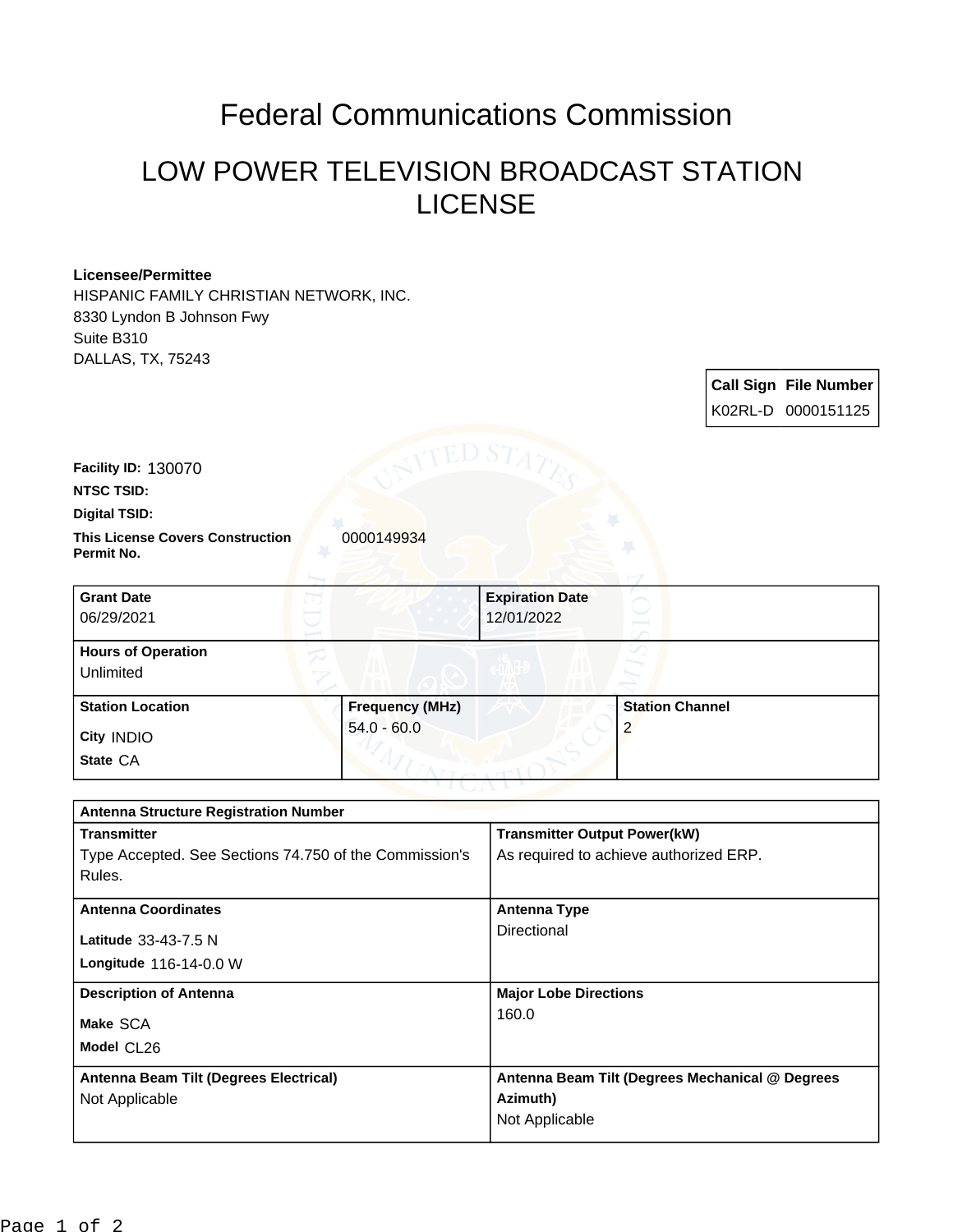## Federal Communications Commission

## LOW POWER TELEVISION BROADCAST STATION LICENSE

## **Licensee/Permittee**

HISPANIC FAMILY CHRISTIAN NETWORK, INC. 8330 Lyndon B Johnson Fwy Suite B310 DALLAS, TX, 75243

> **Call Sign File Number** K02RL-D 0000151125

**Facility ID:** 130070

**NTSC TSID:**

**Digital TSID:**

**This License Covers Construction**  0000149934 **Permit No.**

| <b>Grant Date</b><br>06/29/2021        |                        | <b>Expiration Date</b><br>12/01/2022 |                        |
|----------------------------------------|------------------------|--------------------------------------|------------------------|
| <b>Hours of Operation</b><br>Unlimited |                        |                                      |                        |
| <b>Station Location</b>                | <b>Frequency (MHz)</b> |                                      | <b>Station Channel</b> |
| City INDIO                             | $54.0 - 60.0$          |                                      | 2                      |
| State CA                               |                        |                                      |                        |

| <b>Antenna Structure Registration Number</b>           |                                                 |  |
|--------------------------------------------------------|-------------------------------------------------|--|
| <b>Transmitter</b>                                     | <b>Transmitter Output Power(kW)</b>             |  |
| Type Accepted. See Sections 74.750 of the Commission's | As required to achieve authorized ERP.          |  |
| Rules.                                                 |                                                 |  |
| <b>Antenna Coordinates</b>                             | <b>Antenna Type</b>                             |  |
| Latitude 33-43-7.5 N                                   | Directional                                     |  |
| Longitude 116-14-0.0 W                                 |                                                 |  |
| <b>Description of Antenna</b>                          | <b>Major Lobe Directions</b>                    |  |
| Make SCA                                               | 160.0                                           |  |
| Model CL26                                             |                                                 |  |
| Antenna Beam Tilt (Degrees Electrical)                 | Antenna Beam Tilt (Degrees Mechanical @ Degrees |  |
| Not Applicable                                         | Azimuth)                                        |  |
|                                                        | Not Applicable                                  |  |